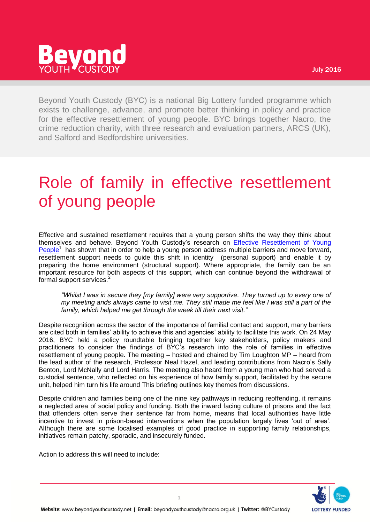# evond

Beyond Youth Custody (BYC) is a national Big Lottery funded programme which exists to challenge, advance, and promote better thinking in policy and practice for the effective resettlement of young people. BYC brings together Nacro, the crime reduction charity, with three research and evaluation partners, ARCS (UK), and Salford and Bedfordshire universities.

# Role of family in effective resettlement of young people

Effective and sustained resettlement requires that a young person shifts the way they think about themselves and behave. Beyond Youth Custody's research on [Effective Resettlement of Young](http://www.beyondyouthcustody.net/resources/publications/effective-resettlement-of-young-people-lessons-from-beyond-youth-custody/)  [People](http://www.beyondyouthcustody.net/resources/publications/effective-resettlement-of-young-people-lessons-from-beyond-youth-custody/)<sup>1</sup> has shown that in order to help a young person address multiple barriers and move forward, resettlement support needs to guide this shift in identity (personal support) and enable it by preparing the home environment (structural support). Where appropriate, the family can be an important resource for both aspects of this support, which can continue beyond the withdrawal of formal support services.<sup>2</sup>

*"Whilst I was in secure they [my family] were very supportive. They turned up to every one of my meeting ands always came to visit me. They still made me feel like I was still a part of the family, which helped me get through the week till their next visit."*

Despite recognition across the sector of the importance of familial contact and support, many barriers are cited both in families' ability to achieve this and agencies' ability to facilitate this work. On 24 May 2016, BYC held a policy roundtable bringing together key stakeholders, policy makers and practitioners to consider the findings of BYC's research into the role of families in effective resettlement of young people. The meeting – hosted and chaired by Tim Loughton MP – heard from the lead author of the research, Professor Neal Hazel, and leading contributions from Nacro's Sally Benton, Lord McNally and Lord Harris. The meeting also heard from a young man who had served a custodial sentence, who reflected on his experience of how family support, facilitated by the secure unit, helped him turn his life around This briefing outlines key themes from discussions.

Despite children and families being one of the nine key pathways in reducing reoffending, it remains a neglected area of social policy and funding. Both the inward facing culture of prisons and the fact that offenders often serve their sentence far from home, means that local authorities have little incentive to invest in prison-based interventions when the population largely lives 'out of area'. Although there are some localised examples of good practice in supporting family relationships, initiatives remain patchy, sporadic, and insecurely funded.

Action to address this will need to include:

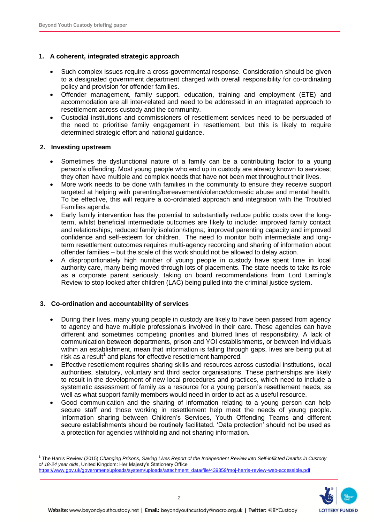# **1. A coherent, integrated strategic approach**

- Such complex issues require a cross-governmental response. Consideration should be given to a designated government department charged with overall responsibility for co-ordinating policy and provision for offender families.
- Offender management, family support, education, training and employment (ETE) and accommodation are all inter-related and need to be addressed in an integrated approach to resettlement across custody and the community.
- Custodial institutions and commissioners of resettlement services need to be persuaded of the need to prioritise family engagement in resettlement, but this is likely to require determined strategic effort and national guidance.

#### **2. Investing upstream**

- Sometimes the dysfunctional nature of a family can be a contributing factor to a young person's offending. Most young people who end up in custody are already known to services; they often have multiple and complex needs that have not been met throughout their lives.
- More work needs to be done with families in the community to ensure they receive support targeted at helping with parenting/bereavement/violence/domestic abuse and mental health. To be effective, this will require a co-ordinated approach and integration with the Troubled Families agenda.
- Early family intervention has the potential to substantially reduce public costs over the longterm, whilst beneficial intermediate outcomes are likely to include: improved family contact and relationships; reduced family isolation/stigma; improved parenting capacity and improved confidence and self-esteem for children. The need to monitor both intermediate and longterm resettlement outcomes requires multi-agency recording and sharing of information about offender families – but the scale of this work should not be allowed to delay action.
- A disproportionately high number of young people in custody have spent time in local authority care, many being moved through lots of placements. The state needs to take its role as a corporate parent seriously, taking on board recommendations from Lord Laming's Review to stop looked after children (LAC) being pulled into the criminal justice system.

# **3. Co-ordination and accountability of services**

- During their lives, many young people in custody are likely to have been passed from agency to agency and have multiple professionals involved in their care. These agencies can have different and sometimes competing priorities and blurred lines of responsibility. A lack of communication between departments, prison and YOI establishments, or between individuals within an establishment, mean that information is falling through gaps, lives are being put at risk as a result<sup>1</sup> and plans for effective resettlement hampered.
- Effective resettlement requires sharing skills and resources across custodial institutions, local authorities, statutory, voluntary and third sector organisations. These partnerships are likely to result in the development of new local procedures and practices, which need to include a systematic assessment of family as a resource for a young person's resettlement needs, as well as what support family members would need in order to act as a useful resource.
- Good communication and the sharing of information relating to a young person can help secure staff and those working in resettlement help meet the needs of young people. Information sharing between Children's Services, Youth Offending Teams and different secure establishments should be routinely facilitated. 'Data protection' should not be used as a protection for agencies withholding and not sharing information.

 <sup>1</sup> The Harris Review (2015) Changing Prisons, Saving Lives Report of the Independent Review into Self-inflicted Deaths in Custody *of 18-24 year olds*, United Kingdom: Her Majesty's Stationery Office [https://www.gov.uk/government/uploads/system/uploads/attachment\\_data/file/439859/moj-harris-review-web-accessible.pdf](https://www.gov.uk/government/uploads/system/uploads/attachment_data/file/439859/moj-harris-review-web-accessible.pdf)

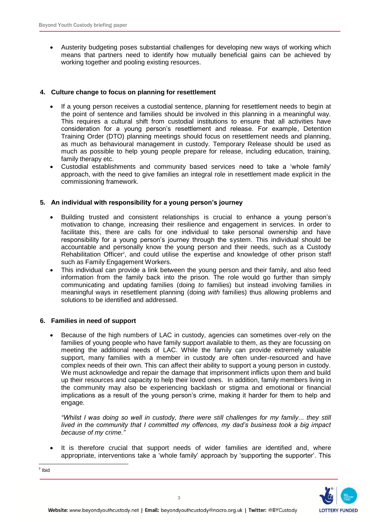Austerity budgeting poses substantial challenges for developing new ways of working which means that partners need to identify how mutually beneficial gains can be achieved by working together and pooling existing resources.

#### **4. Culture change to focus on planning for resettlement**

- If a young person receives a custodial sentence, planning for resettlement needs to begin at the point of sentence and families should be involved in this planning in a meaningful way. This requires a cultural shift from custodial institutions to ensure that all activities have consideration for a young person's resettlement and release. For example, Detention Training Order (DTO) planning meetings should focus on resettlement needs and planning, as much as behavioural management in custody. Temporary Release should be used as much as possible to help young people prepare for release, including education, training, family therapy etc.
- Custodial establishments and community based services need to take a 'whole family' approach, with the need to give families an integral role in resettlement made explicit in the commissioning framework.

#### **5. An individual with responsibility for a young person's journey**

- Building trusted and consistent relationships is crucial to enhance a young person's motivation to change, increasing their resilience and engagement in services. In order to facilitate this, there are calls for one individual to take personal ownership and have responsibility for a young person's journey through the system. This individual should be accountable and personally know the young person and their needs, such as a Custody Rehabilitation Officer<sup>2</sup>, and could utilise the expertise and knowledge of other prison staff such as Family Engagement Workers.
- This individual can provide a link between the young person and their family, and also feed information from the family back into the prison. The role would go further than simply communicating and updating families (doing *to* families) but instead involving families in meaningful ways in resettlement planning (doing *with* families) thus allowing problems and solutions to be identified and addressed.

#### **6. Families in need of support**

 Because of the high numbers of LAC in custody, agencies can sometimes over-rely on the families of young people who have family support available to them, as they are focussing on meeting the additional needs of LAC. While the family can provide extremely valuable support, many families with a member in custody are often under-resourced and have complex needs of their own. This can affect their ability to support a young person in custody. We must acknowledge and repair the damage that imprisonment inflicts upon them and build up their resources and capacity to help their loved ones. In addition, family members living in the community may also be experiencing backlash or stigma and emotional or financial implications as a result of the young person's crime, making it harder for them to help and engage.

*"Whilst I was doing so well in custody, there were still challenges for my family... they still lived in the community that I committed my offences, my dad's business took a big impact because of my crime."*

 It is therefore crucial that support needs of wider families are identified and, where appropriate, interventions take a 'whole family' approach by 'supporting the supporter'. This

<sup>2</sup> Ibid

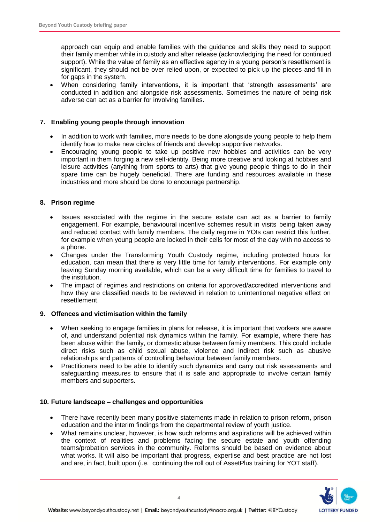approach can equip and enable families with the guidance and skills they need to support their family member while in custody and after release (acknowledging the need for continued support). While the value of family as an effective agency in a young person's resettlement is significant, they should not be over relied upon, or expected to pick up the pieces and fill in for gaps in the system.

 When considering family interventions, it is important that 'strength assessments' are conducted in addition and alongside risk assessments. Sometimes the nature of being risk adverse can act as a barrier for involving families.

### **7. Enabling young people through innovation**

- In addition to work with families, more needs to be done alongside young people to help them identify how to make new circles of friends and develop supportive networks.
- Encouraging young people to take up positive new hobbies and activities can be very important in them forging a new self-identity. Being more creative and looking at hobbies and leisure activities (anything from sports to arts) that give young people things to do in their spare time can be hugely beneficial. There are funding and resources available in these industries and more should be done to encourage partnership.

#### **8. Prison regime**

- Issues associated with the regime in the secure estate can act as a barrier to family engagement. For example, behavioural incentive schemes result in visits being taken away and reduced contact with family members. The daily regime in YOIs can restrict this further, for example when young people are locked in their cells for most of the day with no access to a phone.
- Changes under the Transforming Youth Custody regime, including protected hours for education, can mean that there is very little time for family interventions. For example only leaving Sunday morning available, which can be a very difficult time for families to travel to the institution.
- The impact of regimes and restrictions on criteria for approved/accredited interventions and how they are classified needs to be reviewed in relation to unintentional negative effect on resettlement.

#### **9. Offences and victimisation within the family**

- When seeking to engage families in plans for release, it is important that workers are aware of, and understand potential risk dynamics within the family. For example, where there has been abuse within the family, or domestic abuse between family members. This could include direct risks such as child sexual abuse, violence and indirect risk such as abusive relationships and patterns of controlling behaviour between family members.
- Practitioners need to be able to identify such dynamics and carry out risk assessments and safeguarding measures to ensure that it is safe and appropriate to involve certain family members and supporters.

#### **10. Future landscape – challenges and opportunities**

- There have recently been many positive statements made in relation to prison reform, prison education and the interim findings from the departmental review of youth justice.
- What remains unclear, however, is how such reforms and aspirations will be achieved within the context of realities and problems facing the secure estate and youth offending teams/probation services in the community. Reforms should be based on evidence about what works. It will also be important that progress, expertise and best practice are not lost and are, in fact, built upon (i.e. continuing the roll out of AssetPlus training for YOT staff).